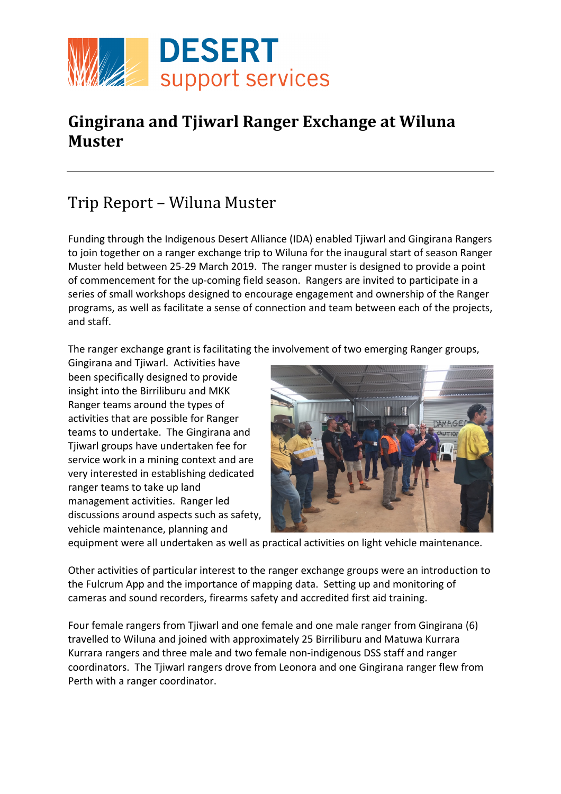

## **Gingirana and Tjiwarl Ranger Exchange at Wiluna Muster**

## Trip Report – Wiluna Muster

Funding through the Indigenous Desert Alliance (IDA) enabled Tjiwarl and Gingirana Rangers to join together on a ranger exchange trip to Wiluna for the inaugural start of season Ranger Muster held between 25-29 March 2019. The ranger muster is designed to provide a point of commencement for the up-coming field season. Rangers are invited to participate in a series of small workshops designed to encourage engagement and ownership of the Ranger programs, as well as facilitate a sense of connection and team between each of the projects, and staff.

The ranger exchange grant is facilitating the involvement of two emerging Ranger groups,

Gingirana and Tjiwarl. Activities have been specifically designed to provide insight into the Birriliburu and MKK Ranger teams around the types of activities that are possible for Ranger teams to undertake. The Gingirana and Tjiwarl groups have undertaken fee for service work in a mining context and are very interested in establishing dedicated ranger teams to take up land management activities. Ranger led discussions around aspects such as safety, vehicle maintenance, planning and



equipment were all undertaken as well as practical activities on light vehicle maintenance.

Other activities of particular interest to the ranger exchange groups were an introduction to the Fulcrum App and the importance of mapping data. Setting up and monitoring of cameras and sound recorders, firearms safety and accredited first aid training.

Four female rangers from Tjiwarl and one female and one male ranger from Gingirana (6) travelled to Wiluna and joined with approximately 25 Birriliburu and Matuwa Kurrara Kurrara rangers and three male and two female non-indigenous DSS staff and ranger coordinators. The Tjiwarl rangers drove from Leonora and one Gingirana ranger flew from Perth with a ranger coordinator.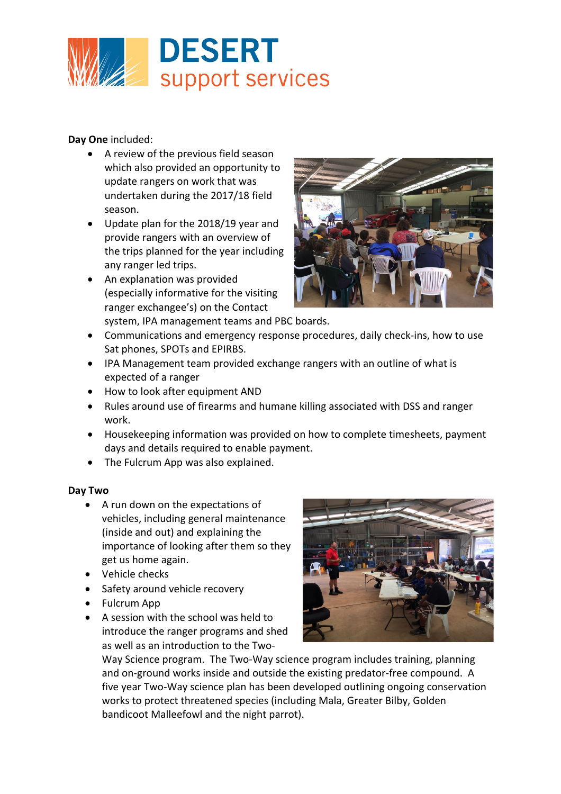

**Day One** included:

- A review of the previous field season which also provided an opportunity to update rangers on work that was undertaken during the 2017/18 field season.
- Update plan for the 2018/19 year and provide rangers with an overview of the trips planned for the year including any ranger led trips.
- An explanation was provided (especially informative for the visiting ranger exchangee's) on the Contact system, IPA management teams and PBC boards.



- Communications and emergency response procedures, daily check-ins, how to use Sat phones, SPOTs and EPIRBS.
- IPA Management team provided exchange rangers with an outline of what is expected of a ranger
- How to look after equipment AND
- Rules around use of firearms and humane killing associated with DSS and ranger work.
- Housekeeping information was provided on how to complete timesheets, payment days and details required to enable payment.
- The Fulcrum App was also explained.

## **Day Two**

- A run down on the expectations of vehicles, including general maintenance (inside and out) and explaining the importance of looking after them so they get us home again.
- Vehicle checks
- Safety around vehicle recovery
- Fulcrum App
- A session with the school was held to introduce the ranger programs and shed as well as an introduction to the Two-



Way Science program. The Two-Way science program includes training, planning and on-ground works inside and outside the existing predator-free compound. A five year Two-Way science plan has been developed outlining ongoing conservation works to protect threatened species (including Mala, Greater Bilby, Golden bandicoot Malleefowl and the night parrot).